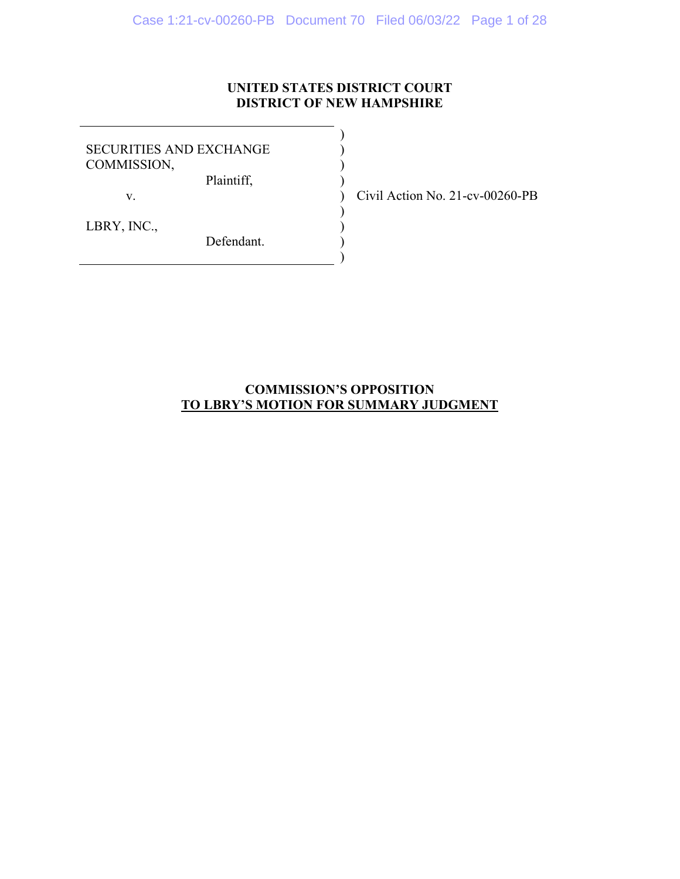# **UNITED STATES DISTRICT COURT DISTRICT OF NEW HAMPSHIRE**

) ) ) )

 $\mathcal{L}$ ) ) )

SECURITIES AND EXCHANGE COMMISSION,

Plaintiff,

Defendant.

v.

LBRY, INC.,

) Civil Action No. 21-cv-00260-PB

# **COMMISSION'S OPPOSITION TO LBRY'S MOTION FOR SUMMARY JUDGMENT**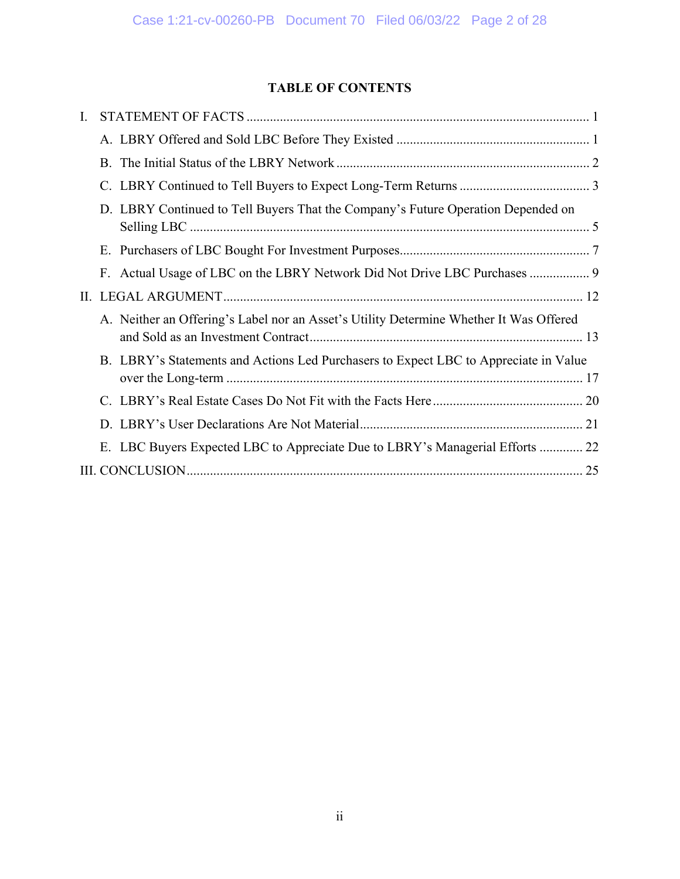# **TABLE OF CONTENTS**

| L. |                                                                                        |
|----|----------------------------------------------------------------------------------------|
|    |                                                                                        |
|    |                                                                                        |
|    |                                                                                        |
|    | D. LBRY Continued to Tell Buyers That the Company's Future Operation Depended on       |
|    |                                                                                        |
|    | F. Actual Usage of LBC on the LBRY Network Did Not Drive LBC Purchases  9              |
|    |                                                                                        |
|    | A. Neither an Offering's Label nor an Asset's Utility Determine Whether It Was Offered |
|    | B. LBRY's Statements and Actions Led Purchasers to Expect LBC to Appreciate in Value   |
|    |                                                                                        |
|    |                                                                                        |
|    | E. LBC Buyers Expected LBC to Appreciate Due to LBRY's Managerial Efforts  22          |
|    |                                                                                        |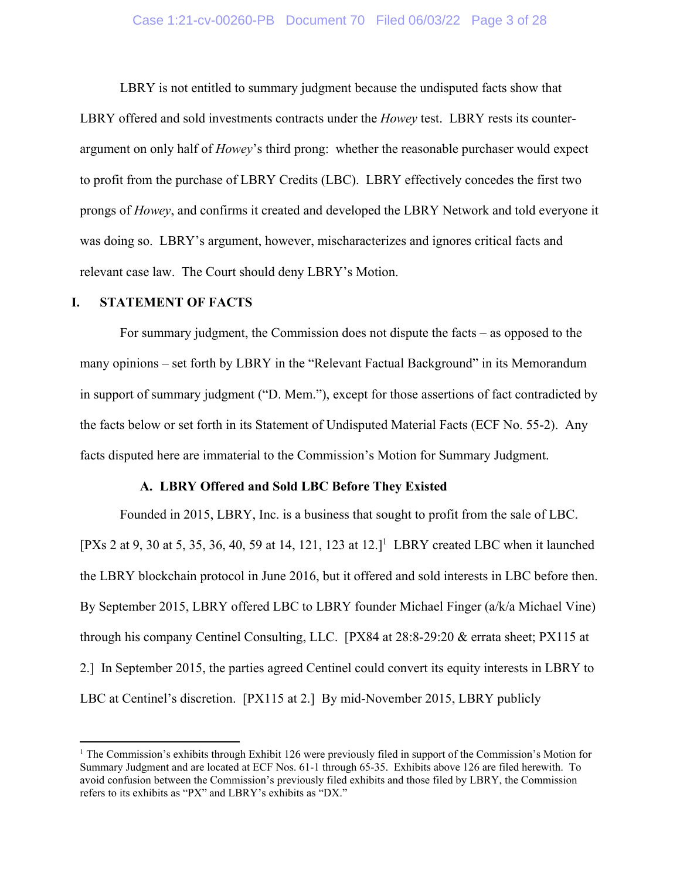# Case 1:21-cv-00260-PB Document 70 Filed 06/03/22 Page 3 of 28

LBRY is not entitled to summary judgment because the undisputed facts show that LBRY offered and sold investments contracts under the *Howey* test. LBRY rests its counterargument on only half of *Howey*'s third prong: whether the reasonable purchaser would expect to profit from the purchase of LBRY Credits (LBC). LBRY effectively concedes the first two prongs of *Howey*, and confirms it created and developed the LBRY Network and told everyone it was doing so. LBRY's argument, however, mischaracterizes and ignores critical facts and relevant case law. The Court should deny LBRY's Motion.

### **I. STATEMENT OF FACTS**

 $\overline{a}$ 

For summary judgment, the Commission does not dispute the facts – as opposed to the many opinions – set forth by LBRY in the "Relevant Factual Background" in its Memorandum in support of summary judgment ("D. Mem."), except for those assertions of fact contradicted by the facts below or set forth in its Statement of Undisputed Material Facts (ECF No. 55-2). Any facts disputed here are immaterial to the Commission's Motion for Summary Judgment.

#### **A. LBRY Offered and Sold LBC Before They Existed**

Founded in 2015, LBRY, Inc. is a business that sought to profit from the sale of LBC. [PXs 2 at 9, 30 at 5, 35, 36, 40, 59 at 14, 121, 123 at  $12.1^1$  LBRY created LBC when it launched the LBRY blockchain protocol in June 2016, but it offered and sold interests in LBC before then. By September 2015, LBRY offered LBC to LBRY founder Michael Finger (a/k/a Michael Vine) through his company Centinel Consulting, LLC. [PX84 at 28:8-29:20 & errata sheet; PX115 at 2.] In September 2015, the parties agreed Centinel could convert its equity interests in LBRY to LBC at Centinel's discretion. [PX115 at 2.] By mid-November 2015, LBRY publicly

<sup>&</sup>lt;sup>1</sup> The Commission's exhibits through Exhibit 126 were previously filed in support of the Commission's Motion for Summary Judgment and are located at ECF Nos. 61-1 through 65-35. Exhibits above 126 are filed herewith. To avoid confusion between the Commission's previously filed exhibits and those filed by LBRY, the Commission refers to its exhibits as "PX" and LBRY's exhibits as "DX."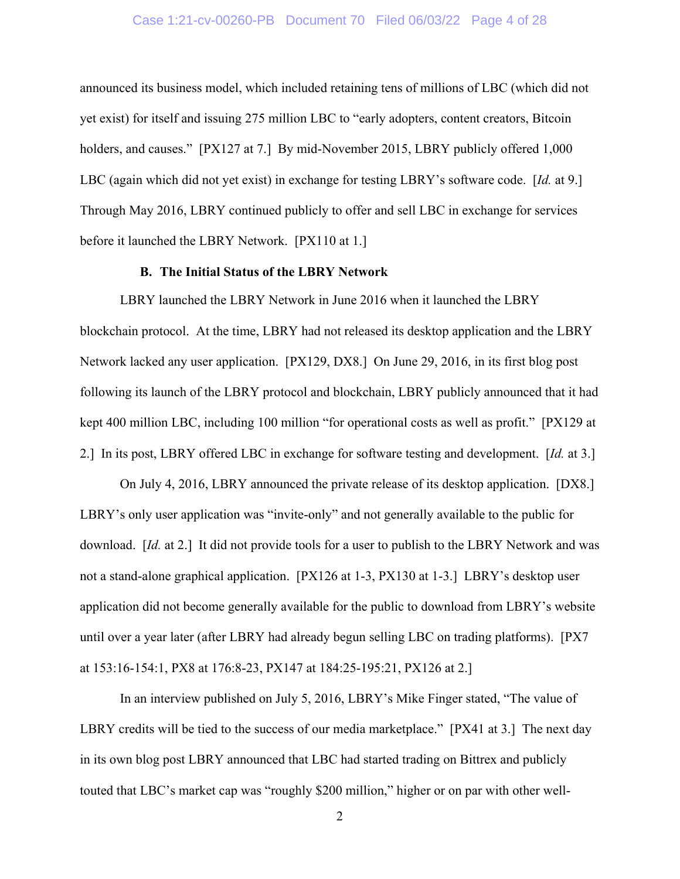# Case 1:21-cv-00260-PB Document 70 Filed 06/03/22 Page 4 of 28

announced its business model, which included retaining tens of millions of LBC (which did not yet exist) for itself and issuing 275 million LBC to "early adopters, content creators, Bitcoin holders, and causes." [PX127 at 7.] By mid-November 2015, LBRY publicly offered 1,000 LBC (again which did not yet exist) in exchange for testing LBRY's software code. [*Id.* at 9.] Through May 2016, LBRY continued publicly to offer and sell LBC in exchange for services before it launched the LBRY Network. [PX110 at 1.]

# **B. The Initial Status of the LBRY Network**

LBRY launched the LBRY Network in June 2016 when it launched the LBRY blockchain protocol. At the time, LBRY had not released its desktop application and the LBRY Network lacked any user application. [PX129, DX8.] On June 29, 2016, in its first blog post following its launch of the LBRY protocol and blockchain, LBRY publicly announced that it had kept 400 million LBC, including 100 million "for operational costs as well as profit." [PX129 at 2.] In its post, LBRY offered LBC in exchange for software testing and development. [*Id.* at 3.]

On July 4, 2016, LBRY announced the private release of its desktop application. [DX8.] LBRY's only user application was "invite-only" and not generally available to the public for download. [*Id.* at 2.] It did not provide tools for a user to publish to the LBRY Network and was not a stand-alone graphical application. [PX126 at 1-3, PX130 at 1-3.] LBRY's desktop user application did not become generally available for the public to download from LBRY's website until over a year later (after LBRY had already begun selling LBC on trading platforms). [PX7 at 153:16-154:1, PX8 at 176:8-23, PX147 at 184:25-195:21, PX126 at 2.]

In an interview published on July 5, 2016, LBRY's Mike Finger stated, "The value of LBRY credits will be tied to the success of our media marketplace." [PX41 at 3.] The next day in its own blog post LBRY announced that LBC had started trading on Bittrex and publicly touted that LBC's market cap was "roughly \$200 million," higher or on par with other well-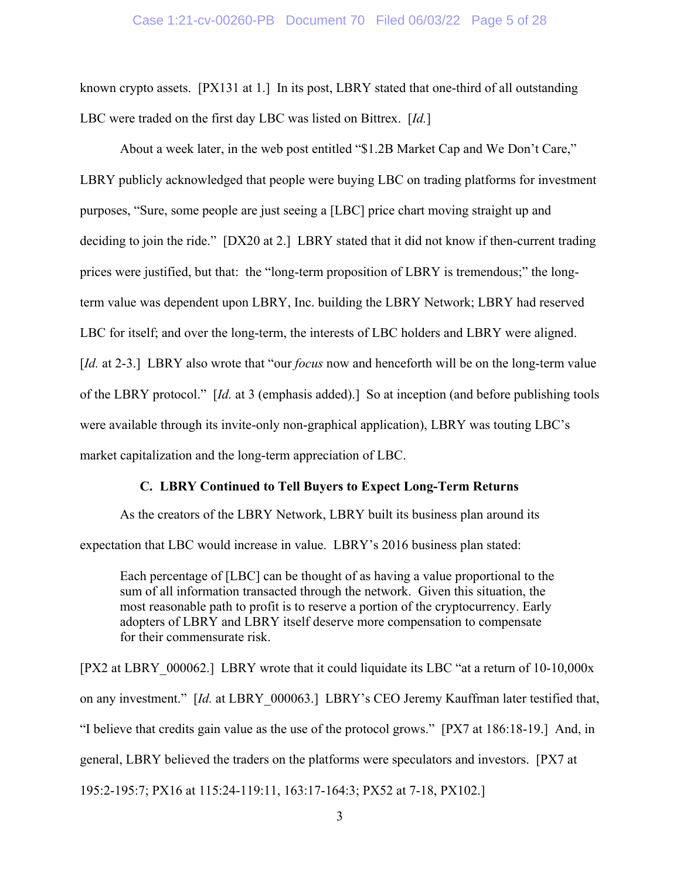#### Case 1:21-cv-00260-PB Document 70 Filed 06/03/22 Page 5 of 28

known crypto assets. [PX131 at 1.] In its post, LBRY stated that one-third of all outstanding LBC were traded on the first day LBC was listed on Bittrex. [*Id.*]

About a week later, in the web post entitled "\$1.2B Market Cap and We Don't Care," LBRY publicly acknowledged that people were buying LBC on trading platforms for investment purposes, "Sure, some people are just seeing a [LBC] price chart moving straight up and deciding to join the ride." [DX20 at 2.] LBRY stated that it did not know if then-current trading prices were justified, but that: the "long-term proposition of LBRY is tremendous;" the longterm value was dependent upon LBRY, Inc. building the LBRY Network; LBRY had reserved LBC for itself; and over the long-term, the interests of LBC holders and LBRY were aligned. [*Id.* at 2-3.] LBRY also wrote that "our *focus* now and henceforth will be on the long-term value of the LBRY protocol." [*Id.* at 3 (emphasis added).] So at inception (and before publishing tools were available through its invite-only non-graphical application), LBRY was touting LBC's market capitalization and the long-term appreciation of LBC.

# **C. LBRY Continued to Tell Buyers to Expect Long-Term Returns**

As the creators of the LBRY Network, LBRY built its business plan around its expectation that LBC would increase in value. LBRY's 2016 business plan stated:

Each percentage of [LBC] can be thought of as having a value proportional to the sum of all information transacted through the network. Given this situation, the most reasonable path to profit is to reserve a portion of the cryptocurrency. Early adopters of LBRY and LBRY itself deserve more compensation to compensate for their commensurate risk.

[PX2 at LBRY\_000062.] LBRY wrote that it could liquidate its LBC "at a return of 10-10,000x on any investment." [*Id.* at LBRY\_000063.] LBRY's CEO Jeremy Kauffman later testified that, "I believe that credits gain value as the use of the protocol grows." [PX7 at 186:18-19.] And, in general, LBRY believed the traders on the platforms were speculators and investors. [PX7 at 195:2-195:7; PX16 at 115:24-119:11, 163:17-164:3; PX52 at 7-18, PX102.]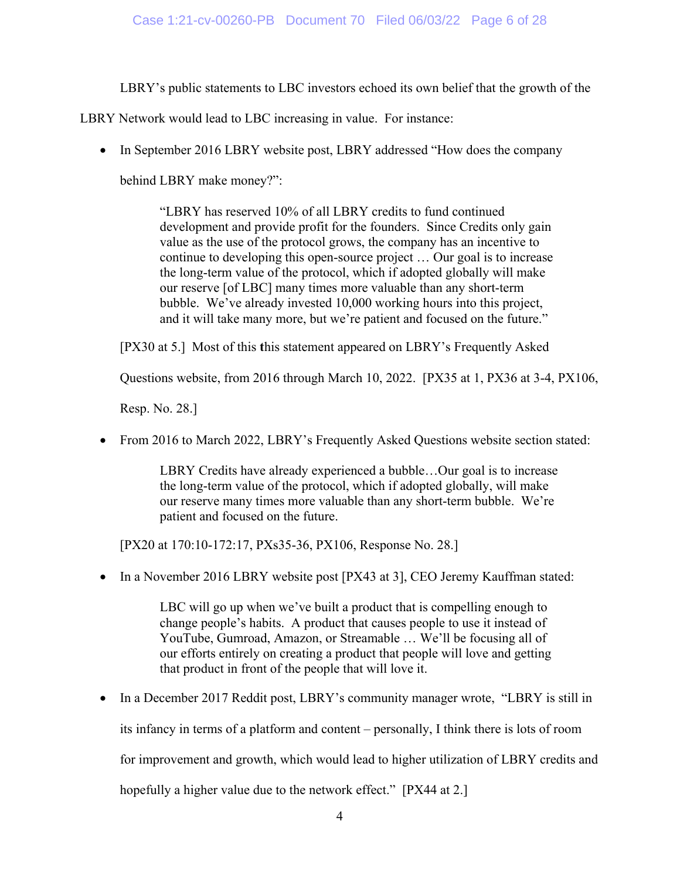LBRY's public statements to LBC investors echoed its own belief that the growth of the

LBRY Network would lead to LBC increasing in value. For instance:

• In September 2016 LBRY website post, LBRY addressed "How does the company

behind LBRY make money?":

"LBRY has reserved 10% of all LBRY credits to fund continued development and provide profit for the founders. Since Credits only gain value as the use of the protocol grows, the company has an incentive to continue to developing this open-source project … Our goal is to increase the long-term value of the protocol, which if adopted globally will make our reserve [of LBC] many times more valuable than any short-term bubble. We've already invested 10,000 working hours into this project, and it will take many more, but we're patient and focused on the future."

[PX30 at 5.] Most of this **t**his statement appeared on LBRY's Frequently Asked

Questions website, from 2016 through March 10, 2022. [PX35 at 1, PX36 at 3-4, PX106,

Resp. No. 28.]

From 2016 to March 2022, LBRY's Frequently Asked Questions website section stated:

LBRY Credits have already experienced a bubble…Our goal is to increase the long-term value of the protocol, which if adopted globally, will make our reserve many times more valuable than any short-term bubble. We're patient and focused on the future.

[PX20 at 170:10-172:17, PXs35-36, PX106, Response No. 28.]

• In a November 2016 LBRY website post [PX43 at 3], CEO Jeremy Kauffman stated:

LBC will go up when we've built a product that is compelling enough to change people's habits. A product that causes people to use it instead of YouTube, Gumroad, Amazon, or Streamable … We'll be focusing all of our efforts entirely on creating a product that people will love and getting that product in front of the people that will love it.

• In a December 2017 Reddit post, LBRY's community manager wrote, "LBRY is still in its infancy in terms of a platform and content – personally, I think there is lots of room for improvement and growth, which would lead to higher utilization of LBRY credits and hopefully a higher value due to the network effect." [PX44 at 2.]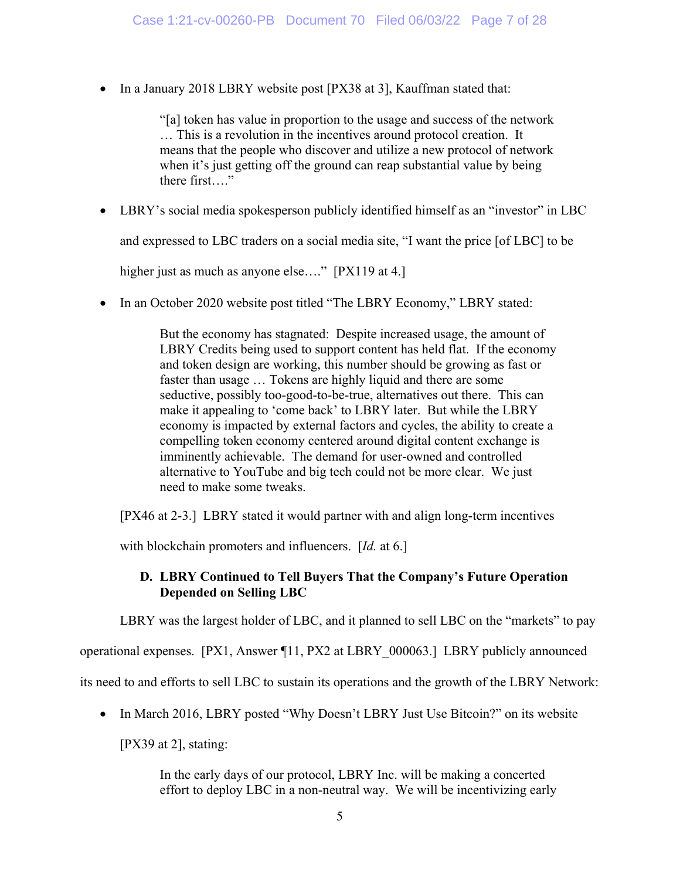• In a January 2018 LBRY website post [PX38 at 3], Kauffman stated that:

"[a] token has value in proportion to the usage and success of the network … This is a revolution in the incentives around protocol creation. It means that the people who discover and utilize a new protocol of network when it's just getting off the ground can reap substantial value by being there first…."

LBRY's social media spokesperson publicly identified himself as an "investor" in LBC

and expressed to LBC traders on a social media site, "I want the price [of LBC] to be

higher just as much as anyone else...." [PX119 at 4.]

• In an October 2020 website post titled "The LBRY Economy," LBRY stated:

But the economy has stagnated: Despite increased usage, the amount of LBRY Credits being used to support content has held flat. If the economy and token design are working, this number should be growing as fast or faster than usage … Tokens are highly liquid and there are some seductive, possibly too-good-to-be-true, alternatives out there. This can make it appealing to 'come back' to LBRY later. But while the LBRY economy is impacted by external factors and cycles, the ability to create a compelling token economy centered around digital content exchange is imminently achievable. The demand for user-owned and controlled alternative to YouTube and big tech could not be more clear. We just need to make some tweaks.

[PX46 at 2-3.] LBRY stated it would partner with and align long-term incentives

with blockchain promoters and influencers. [*Id.* at 6.]

# **D. LBRY Continued to Tell Buyers That the Company's Future Operation Depended on Selling LBC**

LBRY was the largest holder of LBC, and it planned to sell LBC on the "markets" to pay

operational expenses. [PX1, Answer ¶11, PX2 at LBRY\_000063.] LBRY publicly announced

its need to and efforts to sell LBC to sustain its operations and the growth of the LBRY Network:

• In March 2016, LBRY posted "Why Doesn't LBRY Just Use Bitcoin?" on its website

[PX39 at 2], stating:

In the early days of our protocol, LBRY Inc. will be making a concerted effort to deploy LBC in a non-neutral way. We will be incentivizing early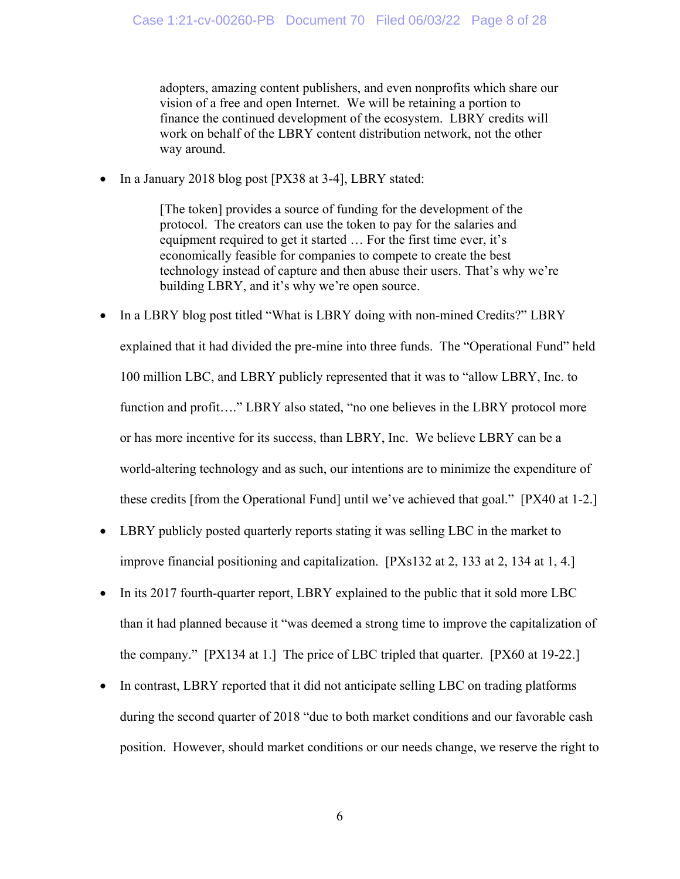adopters, amazing content publishers, and even nonprofits which share our vision of a free and open Internet. We will be retaining a portion to finance the continued development of the ecosystem. LBRY credits will work on behalf of the LBRY content distribution network, not the other way around.

• In a January 2018 blog post [PX38 at 3-4], LBRY stated:

[The token] provides a source of funding for the development of the protocol. The creators can use the token to pay for the salaries and equipment required to get it started … For the first time ever, it's economically feasible for companies to compete to create the best technology instead of capture and then abuse their users. That's why we're building LBRY, and it's why we're open source.

- In a LBRY blog post titled "What is LBRY doing with non-mined Credits?" LBRY explained that it had divided the pre-mine into three funds. The "Operational Fund" held 100 million LBC, and LBRY publicly represented that it was to "allow LBRY, Inc. to function and profit...." LBRY also stated, "no one believes in the LBRY protocol more or has more incentive for its success, than LBRY, Inc. We believe LBRY can be a world-altering technology and as such, our intentions are to minimize the expenditure of these credits [from the Operational Fund] until we've achieved that goal." [PX40 at 1-2.]
- LBRY publicly posted quarterly reports stating it was selling LBC in the market to improve financial positioning and capitalization. [PXs132 at 2, 133 at 2, 134 at 1, 4.]
- In its 2017 fourth-quarter report, LBRY explained to the public that it sold more LBC than it had planned because it "was deemed a strong time to improve the capitalization of the company." [PX134 at 1.] The price of LBC tripled that quarter. [PX60 at 19-22.]
- In contrast, LBRY reported that it did not anticipate selling LBC on trading platforms during the second quarter of 2018 "due to both market conditions and our favorable cash position. However, should market conditions or our needs change, we reserve the right to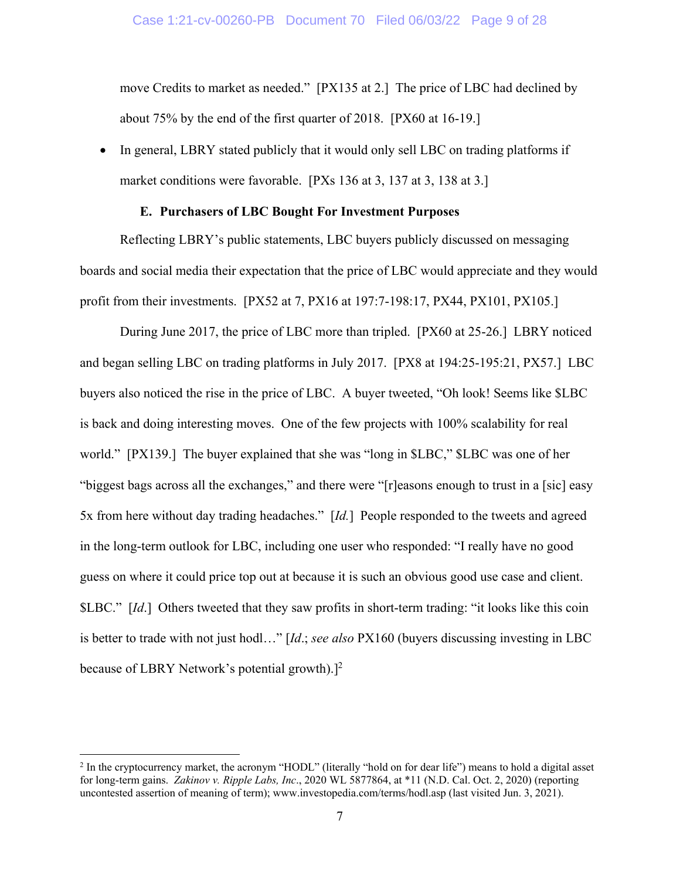move Credits to market as needed." [PX135 at 2.] The price of LBC had declined by about 75% by the end of the first quarter of 2018. [PX60 at 16-19.]

• In general, LBRY stated publicly that it would only sell LBC on trading platforms if market conditions were favorable. [PXs 136 at 3, 137 at 3, 138 at 3.]

## **E. Purchasers of LBC Bought For Investment Purposes**

Reflecting LBRY's public statements, LBC buyers publicly discussed on messaging boards and social media their expectation that the price of LBC would appreciate and they would profit from their investments. [PX52 at 7, PX16 at 197:7-198:17, PX44, PX101, PX105.]

During June 2017, the price of LBC more than tripled. [PX60 at 25-26.] LBRY noticed and began selling LBC on trading platforms in July 2017. [PX8 at 194:25-195:21, PX57.] LBC buyers also noticed the rise in the price of LBC. A buyer tweeted, "Oh look! Seems like \$LBC is back and doing interesting moves. One of the few projects with 100% scalability for real world." [PX139.] The buyer explained that she was "long in \$LBC," \$LBC was one of her "biggest bags across all the exchanges," and there were "[r]easons enough to trust in a [sic] easy 5x from here without day trading headaches." [*Id.*] People responded to the tweets and agreed in the long-term outlook for LBC, including one user who responded: "I really have no good guess on where it could price top out at because it is such an obvious good use case and client. \$LBC." [*Id*.] Others tweeted that they saw profits in short-term trading: "it looks like this coin is better to trade with not just hodl…" [*Id*.; *see also* PX160 (buyers discussing investing in LBC because of LBRY Network's potential growth).]<sup>2</sup>

<u>.</u>

<sup>&</sup>lt;sup>2</sup> In the cryptocurrency market, the acronym "HODL" (literally "hold on for dear life") means to hold a digital asset for long-term gains. *Zakinov v. Ripple Labs, Inc*., 2020 WL 5877864, at \*11 (N.D. Cal. Oct. 2, 2020) (reporting uncontested assertion of meaning of term); www.investopedia.com/terms/hodl.asp (last visited Jun. 3, 2021).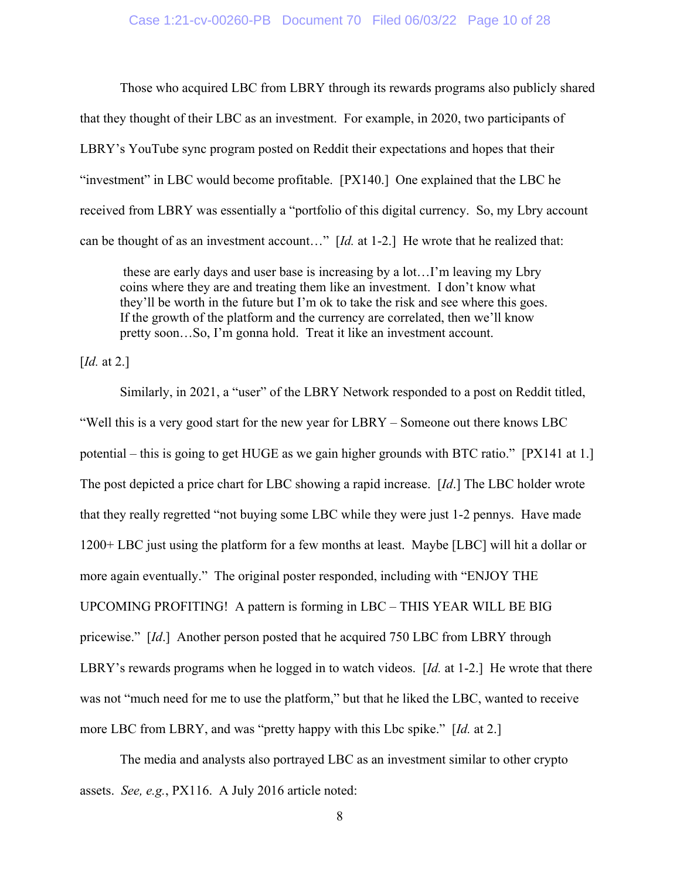Those who acquired LBC from LBRY through its rewards programs also publicly shared that they thought of their LBC as an investment. For example, in 2020, two participants of LBRY's YouTube sync program posted on Reddit their expectations and hopes that their "investment" in LBC would become profitable. [PX140.] One explained that the LBC he received from LBRY was essentially a "portfolio of this digital currency. So, my Lbry account can be thought of as an investment account…" [*Id.* at 1-2.] He wrote that he realized that:

 these are early days and user base is increasing by a lot…I'm leaving my Lbry coins where they are and treating them like an investment. I don't know what they'll be worth in the future but I'm ok to take the risk and see where this goes. If the growth of the platform and the currency are correlated, then we'll know pretty soon…So, I'm gonna hold. Treat it like an investment account.

[*Id.* at 2.]

Similarly, in 2021, a "user" of the LBRY Network responded to a post on Reddit titled, "Well this is a very good start for the new year for LBRY – Someone out there knows LBC potential – this is going to get HUGE as we gain higher grounds with BTC ratio." [PX141 at 1.] The post depicted a price chart for LBC showing a rapid increase. [*Id*.] The LBC holder wrote that they really regretted "not buying some LBC while they were just 1-2 pennys. Have made 1200+ LBC just using the platform for a few months at least. Maybe [LBC] will hit a dollar or more again eventually." The original poster responded, including with "ENJOY THE UPCOMING PROFITING! A pattern is forming in LBC – THIS YEAR WILL BE BIG pricewise." [*Id*.] Another person posted that he acquired 750 LBC from LBRY through LBRY's rewards programs when he logged in to watch videos. [*Id.* at 1-2.] He wrote that there was not "much need for me to use the platform," but that he liked the LBC, wanted to receive more LBC from LBRY, and was "pretty happy with this Lbc spike." [*Id.* at 2.]

The media and analysts also portrayed LBC as an investment similar to other crypto assets. *See, e.g.*, PX116. A July 2016 article noted: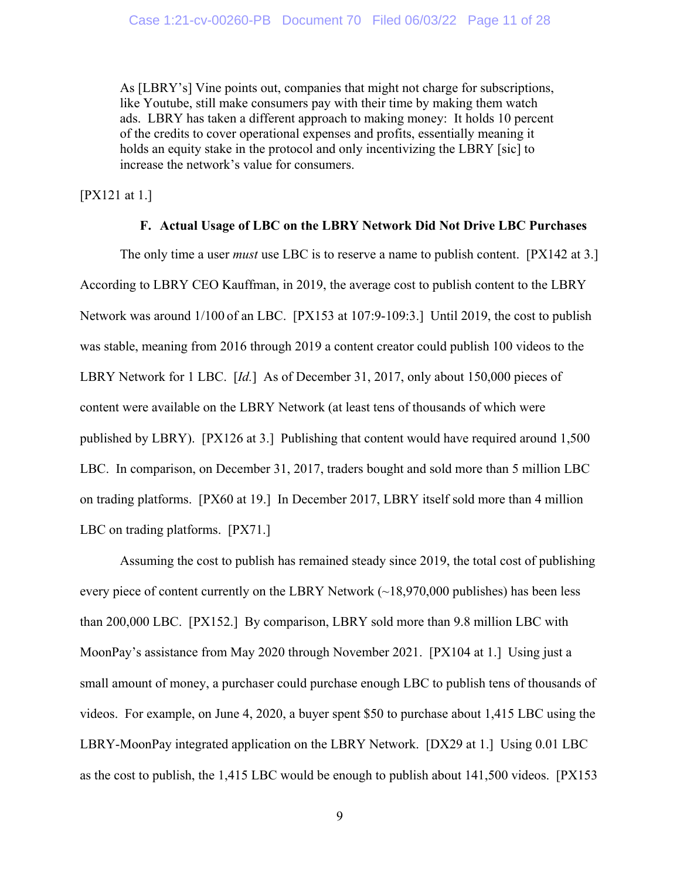As [LBRY's] Vine points out, companies that might not charge for subscriptions, like Youtube, still make consumers pay with their time by making them watch ads. LBRY has taken a different approach to making money: It holds 10 percent of the credits to cover operational expenses and profits, essentially meaning it holds an equity stake in the protocol and only incentivizing the LBRY [sic] to increase the network's value for consumers.

[PX121 at 1.]

# **F. Actual Usage of LBC on the LBRY Network Did Not Drive LBC Purchases**

The only time a user *must* use LBC is to reserve a name to publish content. [PX142 at 3.] According to LBRY CEO Kauffman, in 2019, the average cost to publish content to the LBRY Network was around 1/100 of an LBC. [PX153 at 107:9-109:3.] Until 2019, the cost to publish was stable, meaning from 2016 through 2019 a content creator could publish 100 videos to the LBRY Network for 1 LBC. [*Id.*] As of December 31, 2017, only about 150,000 pieces of content were available on the LBRY Network (at least tens of thousands of which were published by LBRY). [PX126 at 3.] Publishing that content would have required around 1,500 LBC. In comparison, on December 31, 2017, traders bought and sold more than 5 million LBC on trading platforms. [PX60 at 19.] In December 2017, LBRY itself sold more than 4 million LBC on trading platforms. [PX71.]

Assuming the cost to publish has remained steady since 2019, the total cost of publishing every piece of content currently on the LBRY Network (~18,970,000 publishes) has been less than 200,000 LBC. [PX152.] By comparison, LBRY sold more than 9.8 million LBC with MoonPay's assistance from May 2020 through November 2021. [PX104 at 1.] Using just a small amount of money, a purchaser could purchase enough LBC to publish tens of thousands of videos. For example, on June 4, 2020, a buyer spent \$50 to purchase about 1,415 LBC using the LBRY-MoonPay integrated application on the LBRY Network. [DX29 at 1.] Using 0.01 LBC as the cost to publish, the 1,415 LBC would be enough to publish about 141,500 videos. [PX153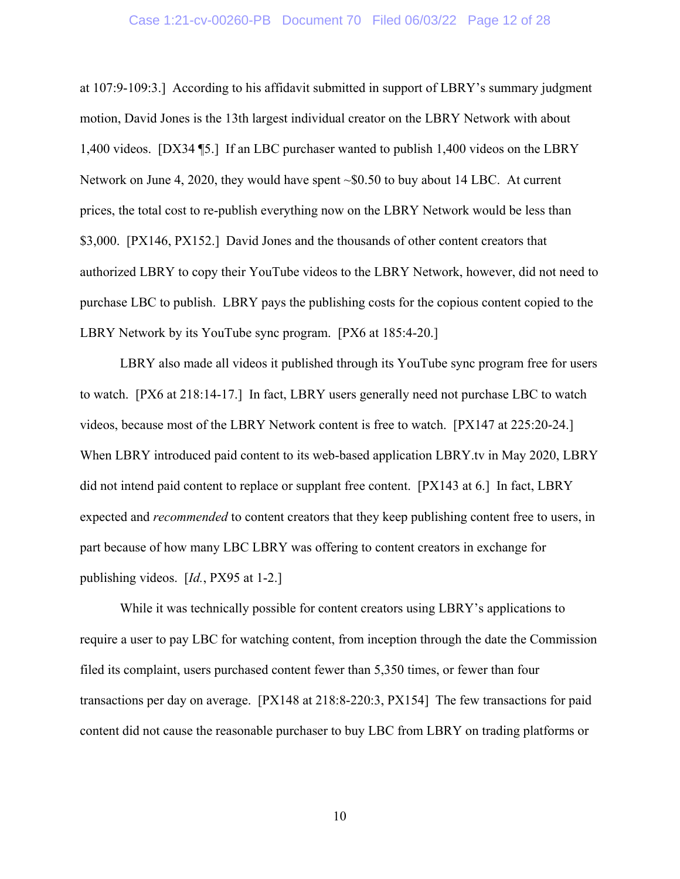#### Case 1:21-cv-00260-PB Document 70 Filed 06/03/22 Page 12 of 28

at 107:9-109:3.] According to his affidavit submitted in support of LBRY's summary judgment motion, David Jones is the 13th largest individual creator on the LBRY Network with about 1,400 videos. [DX34 ¶5.] If an LBC purchaser wanted to publish 1,400 videos on the LBRY Network on June 4, 2020, they would have spent ~\$0.50 to buy about 14 LBC. At current prices, the total cost to re-publish everything now on the LBRY Network would be less than \$3,000. [PX146, PX152.] David Jones and the thousands of other content creators that authorized LBRY to copy their YouTube videos to the LBRY Network, however, did not need to purchase LBC to publish. LBRY pays the publishing costs for the copious content copied to the LBRY Network by its YouTube sync program. [PX6 at 185:4-20.]

LBRY also made all videos it published through its YouTube sync program free for users to watch. [PX6 at 218:14-17.] In fact, LBRY users generally need not purchase LBC to watch videos, because most of the LBRY Network content is free to watch. [PX147 at 225:20-24.] When LBRY introduced paid content to its web-based application LBRY.tv in May 2020, LBRY did not intend paid content to replace or supplant free content. [PX143 at 6.] In fact, LBRY expected and *recommended* to content creators that they keep publishing content free to users, in part because of how many LBC LBRY was offering to content creators in exchange for publishing videos. [*Id.*, PX95 at 1-2.]

While it was technically possible for content creators using LBRY's applications to require a user to pay LBC for watching content, from inception through the date the Commission filed its complaint, users purchased content fewer than 5,350 times, or fewer than four transactions per day on average. [PX148 at 218:8-220:3, PX154] The few transactions for paid content did not cause the reasonable purchaser to buy LBC from LBRY on trading platforms or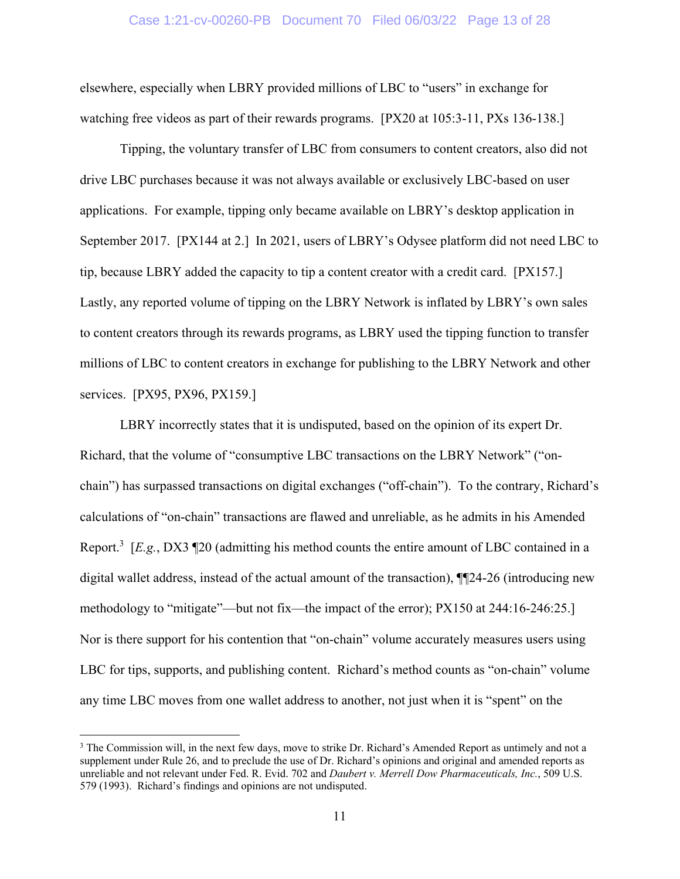#### Case 1:21-cv-00260-PB Document 70 Filed 06/03/22 Page 13 of 28

elsewhere, especially when LBRY provided millions of LBC to "users" in exchange for watching free videos as part of their rewards programs. [PX20 at 105:3-11, PXs 136-138.]

 Tipping, the voluntary transfer of LBC from consumers to content creators, also did not drive LBC purchases because it was not always available or exclusively LBC-based on user applications. For example, tipping only became available on LBRY's desktop application in September 2017. [PX144 at 2.] In 2021, users of LBRY's Odysee platform did not need LBC to tip, because LBRY added the capacity to tip a content creator with a credit card. [PX157.] Lastly, any reported volume of tipping on the LBRY Network is inflated by LBRY's own sales to content creators through its rewards programs, as LBRY used the tipping function to transfer millions of LBC to content creators in exchange for publishing to the LBRY Network and other services. [PX95, PX96, PX159.]

 LBRY incorrectly states that it is undisputed, based on the opinion of its expert Dr. Richard, that the volume of "consumptive LBC transactions on the LBRY Network" ("onchain") has surpassed transactions on digital exchanges ("off-chain"). To the contrary, Richard's calculations of "on-chain" transactions are flawed and unreliable, as he admits in his Amended Report.3 [*E.g.*, DX3 ¶20 (admitting his method counts the entire amount of LBC contained in a digital wallet address, instead of the actual amount of the transaction), ¶¶24-26 (introducing new methodology to "mitigate"—but not fix—the impact of the error); PX150 at 244:16-246:25.] Nor is there support for his contention that "on-chain" volume accurately measures users using LBC for tips, supports, and publishing content. Richard's method counts as "on-chain" volume any time LBC moves from one wallet address to another, not just when it is "spent" on the

<sup>&</sup>lt;sup>3</sup> The Commission will, in the next few days, move to strike Dr. Richard's Amended Report as untimely and not a supplement under Rule 26, and to preclude the use of Dr. Richard's opinions and original and amended reports as unreliable and not relevant under Fed. R. Evid. 702 and *Daubert v. Merrell Dow Pharmaceuticals, Inc.*, 509 U.S. 579 (1993). Richard's findings and opinions are not undisputed.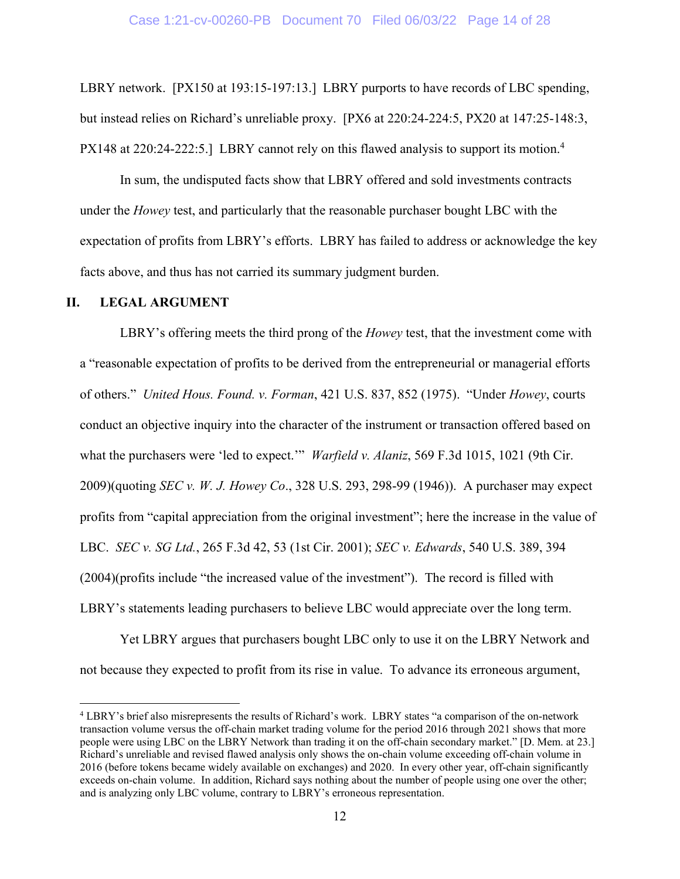LBRY network. [PX150 at 193:15-197:13.] LBRY purports to have records of LBC spending, but instead relies on Richard's unreliable proxy. [PX6 at 220:24-224:5, PX20 at 147:25-148:3, PX148 at 220:24-222:5.] LBRY cannot rely on this flawed analysis to support its motion.<sup>4</sup>

In sum, the undisputed facts show that LBRY offered and sold investments contracts under the *Howey* test, and particularly that the reasonable purchaser bought LBC with the expectation of profits from LBRY's efforts. LBRY has failed to address or acknowledge the key facts above, and thus has not carried its summary judgment burden.

#### **II. LEGAL ARGUMENT**

1

LBRY's offering meets the third prong of the *Howey* test, that the investment come with a "reasonable expectation of profits to be derived from the entrepreneurial or managerial efforts of others." *United Hous. Found. v. Forman*, 421 U.S. 837, 852 (1975). "Under *Howey*, courts conduct an objective inquiry into the character of the instrument or transaction offered based on what the purchasers were 'led to expect.'" *Warfield v. Alaniz*, 569 F.3d 1015, 1021 (9th Cir. 2009)(quoting *SEC v. W. J. Howey Co*., 328 U.S. 293, 298-99 (1946)). A purchaser may expect profits from "capital appreciation from the original investment"; here the increase in the value of LBC. *SEC v. SG Ltd.*, 265 F.3d 42, 53 (1st Cir. 2001); *SEC v. Edwards*, 540 U.S. 389, 394 (2004)(profits include "the increased value of the investment"). The record is filled with LBRY's statements leading purchasers to believe LBC would appreciate over the long term.

Yet LBRY argues that purchasers bought LBC only to use it on the LBRY Network and not because they expected to profit from its rise in value. To advance its erroneous argument,

<sup>&</sup>lt;sup>4</sup> LBRY's brief also misrepresents the results of Richard's work. LBRY states "a comparison of the on-network transaction volume versus the off-chain market trading volume for the period 2016 through 2021 shows that more people were using LBC on the LBRY Network than trading it on the off-chain secondary market." [D. Mem. at 23.] Richard's unreliable and revised flawed analysis only shows the on-chain volume exceeding off-chain volume in 2016 (before tokens became widely available on exchanges) and 2020. In every other year, off-chain significantly exceeds on-chain volume. In addition, Richard says nothing about the number of people using one over the other; and is analyzing only LBC volume, contrary to LBRY's erroneous representation.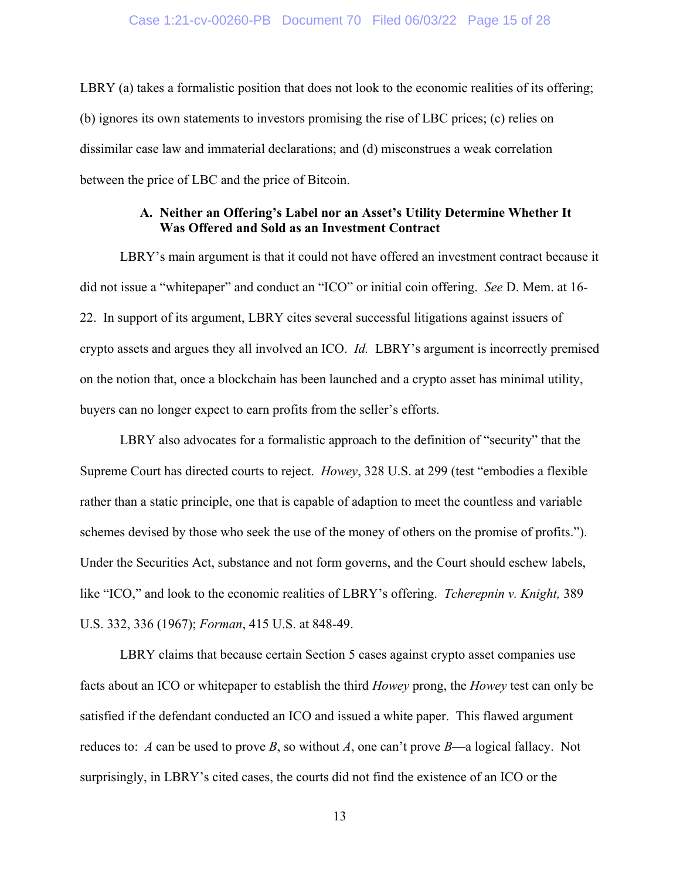LBRY (a) takes a formalistic position that does not look to the economic realities of its offering; (b) ignores its own statements to investors promising the rise of LBC prices; (c) relies on dissimilar case law and immaterial declarations; and (d) misconstrues a weak correlation between the price of LBC and the price of Bitcoin.

# **A. Neither an Offering's Label nor an Asset's Utility Determine Whether It Was Offered and Sold as an Investment Contract**

LBRY's main argument is that it could not have offered an investment contract because it did not issue a "whitepaper" and conduct an "ICO" or initial coin offering. *See* D. Mem. at 16- 22. In support of its argument, LBRY cites several successful litigations against issuers of crypto assets and argues they all involved an ICO. *Id.* LBRY's argument is incorrectly premised on the notion that, once a blockchain has been launched and a crypto asset has minimal utility, buyers can no longer expect to earn profits from the seller's efforts.

LBRY also advocates for a formalistic approach to the definition of "security" that the Supreme Court has directed courts to reject. *Howey*, 328 U.S. at 299 (test "embodies a flexible rather than a static principle, one that is capable of adaption to meet the countless and variable schemes devised by those who seek the use of the money of others on the promise of profits."). Under the Securities Act, substance and not form governs, and the Court should eschew labels, like "ICO," and look to the economic realities of LBRY's offering. *Tcherepnin v. Knight,* 389 U.S. 332, 336 (1967); *Forman*, 415 U.S. at 848-49.

LBRY claims that because certain Section 5 cases against crypto asset companies use facts about an ICO or whitepaper to establish the third *Howey* prong, the *Howey* test can only be satisfied if the defendant conducted an ICO and issued a white paper. This flawed argument reduces to: *A* can be used to prove *B*, so without *A*, one can't prove *B*—a logical fallacy. Not surprisingly, in LBRY's cited cases, the courts did not find the existence of an ICO or the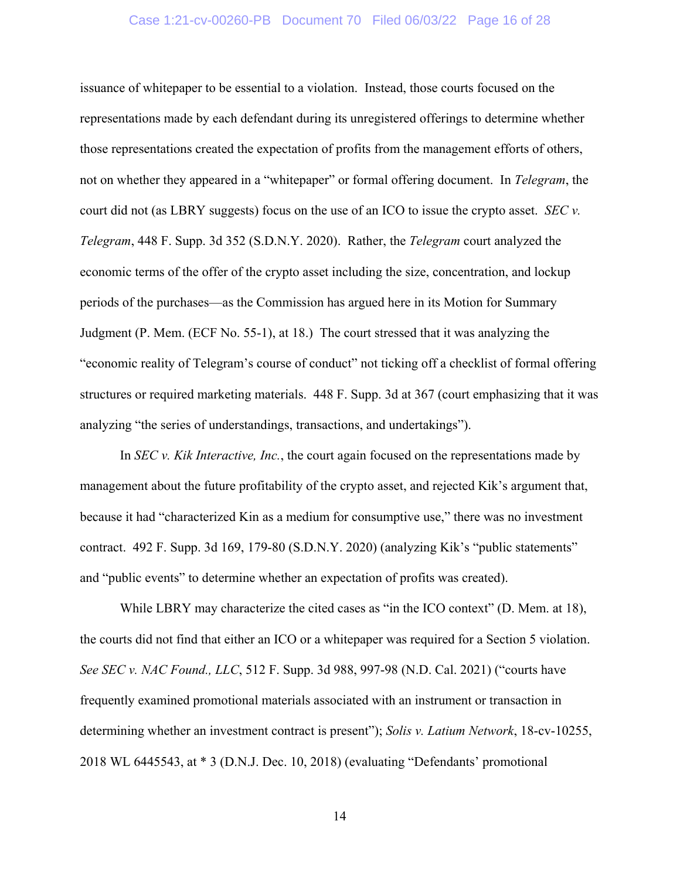# Case 1:21-cv-00260-PB Document 70 Filed 06/03/22 Page 16 of 28

issuance of whitepaper to be essential to a violation. Instead, those courts focused on the representations made by each defendant during its unregistered offerings to determine whether those representations created the expectation of profits from the management efforts of others, not on whether they appeared in a "whitepaper" or formal offering document. In *Telegram*, the court did not (as LBRY suggests) focus on the use of an ICO to issue the crypto asset. *SEC v. Telegram*, 448 F. Supp. 3d 352 (S.D.N.Y. 2020). Rather, the *Telegram* court analyzed the economic terms of the offer of the crypto asset including the size, concentration, and lockup periods of the purchases—as the Commission has argued here in its Motion for Summary Judgment (P. Mem. (ECF No. 55-1), at 18.) The court stressed that it was analyzing the "economic reality of Telegram's course of conduct" not ticking off a checklist of formal offering structures or required marketing materials. 448 F. Supp. 3d at 367 (court emphasizing that it was analyzing "the series of understandings, transactions, and undertakings").

In *SEC v. Kik Interactive, Inc.*, the court again focused on the representations made by management about the future profitability of the crypto asset, and rejected Kik's argument that, because it had "characterized Kin as a medium for consumptive use," there was no investment contract. 492 F. Supp. 3d 169, 179-80 (S.D.N.Y. 2020) (analyzing Kik's "public statements" and "public events" to determine whether an expectation of profits was created).

While LBRY may characterize the cited cases as "in the ICO context" (D. Mem. at 18), the courts did not find that either an ICO or a whitepaper was required for a Section 5 violation. *See SEC v. NAC Found., LLC*, 512 F. Supp. 3d 988, 997-98 (N.D. Cal. 2021) ("courts have frequently examined promotional materials associated with an instrument or transaction in determining whether an investment contract is present"); *Solis v. Latium Network*, 18-cv-10255, 2018 WL 6445543, at \* 3 (D.N.J. Dec. 10, 2018) (evaluating "Defendants' promotional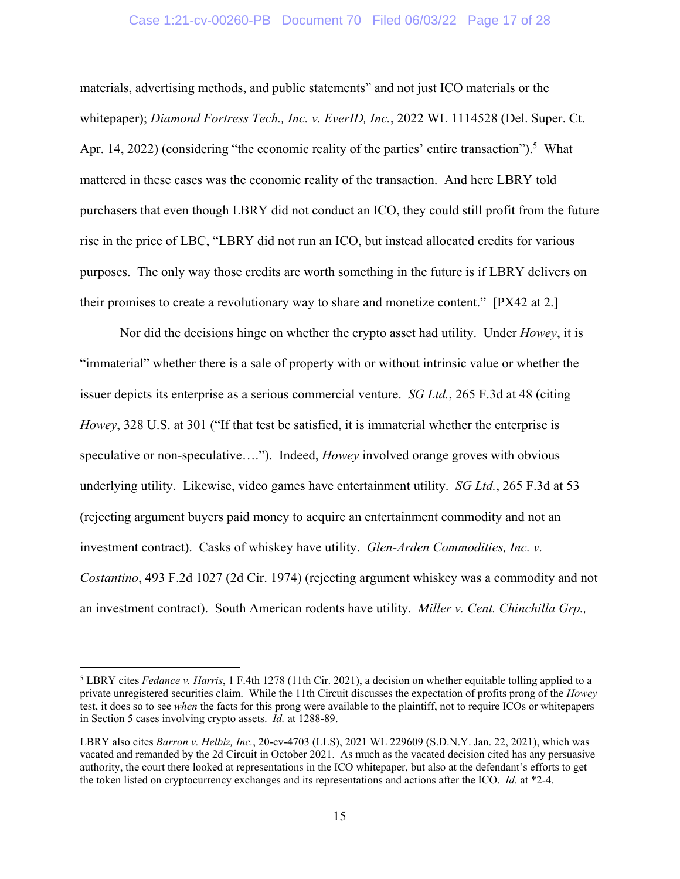# Case 1:21-cv-00260-PB Document 70 Filed 06/03/22 Page 17 of 28

materials, advertising methods, and public statements" and not just ICO materials or the whitepaper); *Diamond Fortress Tech., Inc. v. EverID, Inc.*, 2022 WL 1114528 (Del. Super. Ct. Apr. 14, 2022) (considering "the economic reality of the parties' entire transaction").<sup>5</sup> What mattered in these cases was the economic reality of the transaction. And here LBRY told purchasers that even though LBRY did not conduct an ICO, they could still profit from the future rise in the price of LBC, "LBRY did not run an ICO, but instead allocated credits for various purposes. The only way those credits are worth something in the future is if LBRY delivers on their promises to create a revolutionary way to share and monetize content." [PX42 at 2.]

Nor did the decisions hinge on whether the crypto asset had utility. Under *Howey*, it is "immaterial" whether there is a sale of property with or without intrinsic value or whether the issuer depicts its enterprise as a serious commercial venture. *SG Ltd.*, 265 F.3d at 48 (citing *Howey*, 328 U.S. at 301 ("If that test be satisfied, it is immaterial whether the enterprise is speculative or non-speculative…."). Indeed, *Howey* involved orange groves with obvious underlying utility. Likewise, video games have entertainment utility. *SG Ltd.*, 265 F.3d at 53 (rejecting argument buyers paid money to acquire an entertainment commodity and not an investment contract). Casks of whiskey have utility. *Glen-Arden Commodities, Inc. v. Costantino*, 493 F.2d 1027 (2d Cir. 1974) (rejecting argument whiskey was a commodity and not an investment contract). South American rodents have utility. *Miller v. Cent. Chinchilla Grp.,* 

 $\overline{a}$ 

<sup>&</sup>lt;sup>5</sup> LBRY cites *Fedance v. Harris*, 1 F.4th 1278 (11th Cir. 2021), a decision on whether equitable tolling applied to a private unregistered securities claim. While the 11th Circuit discusses the expectation of profits prong of the *Howey* test, it does so to see *when* the facts for this prong were available to the plaintiff, not to require ICOs or whitepapers in Section 5 cases involving crypto assets. *Id.* at 1288-89.

LBRY also cites *Barron v. Helbiz, Inc.*, 20-cv-4703 (LLS), 2021 WL 229609 (S.D.N.Y. Jan. 22, 2021), which was vacated and remanded by the 2d Circuit in October 2021. As much as the vacated decision cited has any persuasive authority, the court there looked at representations in the ICO whitepaper, but also at the defendant's efforts to get the token listed on cryptocurrency exchanges and its representations and actions after the ICO. *Id.* at \*2-4.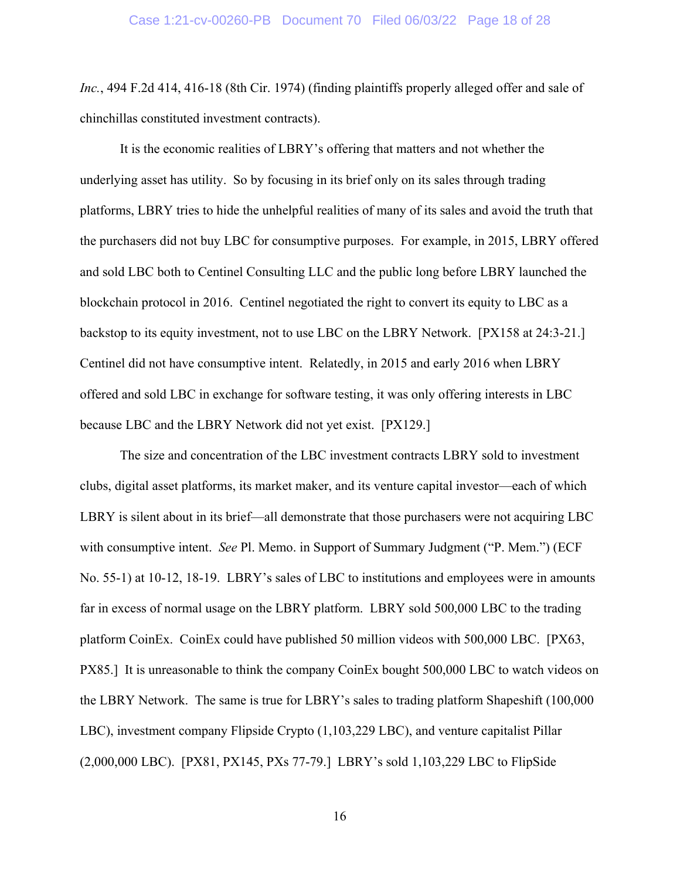*Inc.*, 494 F.2d 414, 416-18 (8th Cir. 1974) (finding plaintiffs properly alleged offer and sale of chinchillas constituted investment contracts).

It is the economic realities of LBRY's offering that matters and not whether the underlying asset has utility. So by focusing in its brief only on its sales through trading platforms, LBRY tries to hide the unhelpful realities of many of its sales and avoid the truth that the purchasers did not buy LBC for consumptive purposes. For example, in 2015, LBRY offered and sold LBC both to Centinel Consulting LLC and the public long before LBRY launched the blockchain protocol in 2016. Centinel negotiated the right to convert its equity to LBC as a backstop to its equity investment, not to use LBC on the LBRY Network. [PX158 at 24:3-21.] Centinel did not have consumptive intent. Relatedly, in 2015 and early 2016 when LBRY offered and sold LBC in exchange for software testing, it was only offering interests in LBC because LBC and the LBRY Network did not yet exist. [PX129.]

The size and concentration of the LBC investment contracts LBRY sold to investment clubs, digital asset platforms, its market maker, and its venture capital investor—each of which LBRY is silent about in its brief—all demonstrate that those purchasers were not acquiring LBC with consumptive intent. *See* Pl. Memo. in Support of Summary Judgment ("P. Mem.") (ECF No. 55-1) at 10-12, 18-19. LBRY's sales of LBC to institutions and employees were in amounts far in excess of normal usage on the LBRY platform. LBRY sold 500,000 LBC to the trading platform CoinEx. CoinEx could have published 50 million videos with 500,000 LBC. [PX63, PX85.] It is unreasonable to think the company CoinEx bought 500,000 LBC to watch videos on the LBRY Network. The same is true for LBRY's sales to trading platform Shapeshift (100,000 LBC), investment company Flipside Crypto (1,103,229 LBC), and venture capitalist Pillar (2,000,000 LBC). [PX81, PX145, PXs 77-79.] LBRY's sold 1,103,229 LBC to FlipSide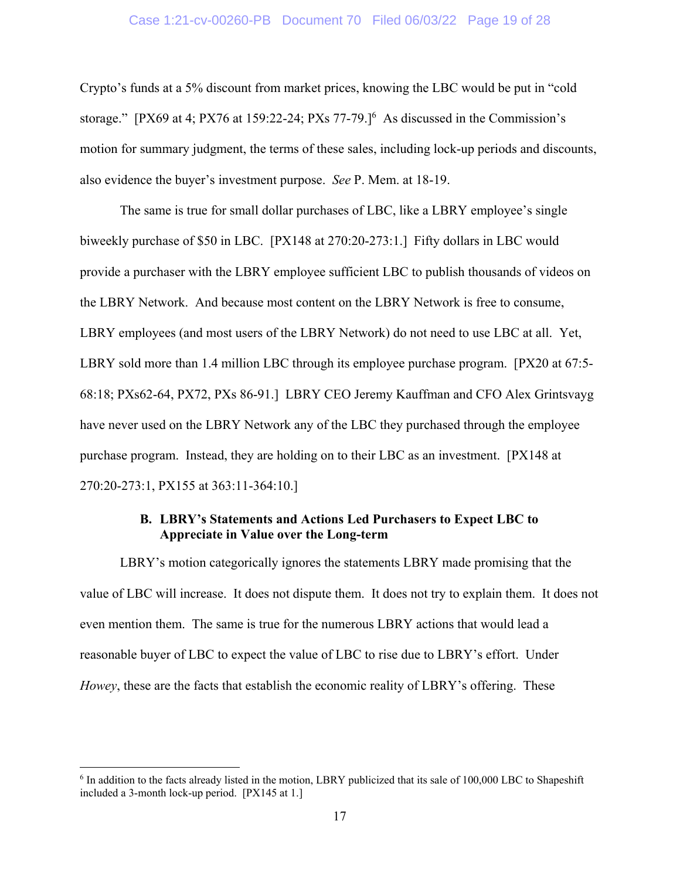#### Case 1:21-cv-00260-PB Document 70 Filed 06/03/22 Page 19 of 28

Crypto's funds at a 5% discount from market prices, knowing the LBC would be put in "cold storage." [PX69 at 4; PX76 at 159:22-24; PXs 77-79.] $^6$  As discussed in the Commission's motion for summary judgment, the terms of these sales, including lock-up periods and discounts, also evidence the buyer's investment purpose. *See* P. Mem. at 18-19.

The same is true for small dollar purchases of LBC, like a LBRY employee's single biweekly purchase of \$50 in LBC. [PX148 at 270:20-273:1.] Fifty dollars in LBC would provide a purchaser with the LBRY employee sufficient LBC to publish thousands of videos on the LBRY Network. And because most content on the LBRY Network is free to consume, LBRY employees (and most users of the LBRY Network) do not need to use LBC at all. Yet, LBRY sold more than 1.4 million LBC through its employee purchase program. [PX20 at 67:5-68:18; PXs62-64, PX72, PXs 86-91.] LBRY CEO Jeremy Kauffman and CFO Alex Grintsvayg have never used on the LBRY Network any of the LBC they purchased through the employee purchase program. Instead, they are holding on to their LBC as an investment. [PX148 at 270:20-273:1, PX155 at 363:11-364:10.]

# **B. LBRY's Statements and Actions Led Purchasers to Expect LBC to Appreciate in Value over the Long-term**

LBRY's motion categorically ignores the statements LBRY made promising that the value of LBC will increase. It does not dispute them. It does not try to explain them. It does not even mention them. The same is true for the numerous LBRY actions that would lead a reasonable buyer of LBC to expect the value of LBC to rise due to LBRY's effort. Under *Howey*, these are the facts that establish the economic reality of LBRY's offering. These

 $\overline{a}$ 

<sup>&</sup>lt;sup>6</sup> In addition to the facts already listed in the motion, LBRY publicized that its sale of 100,000 LBC to Shapeshift included a 3-month lock-up period. [PX145 at 1.]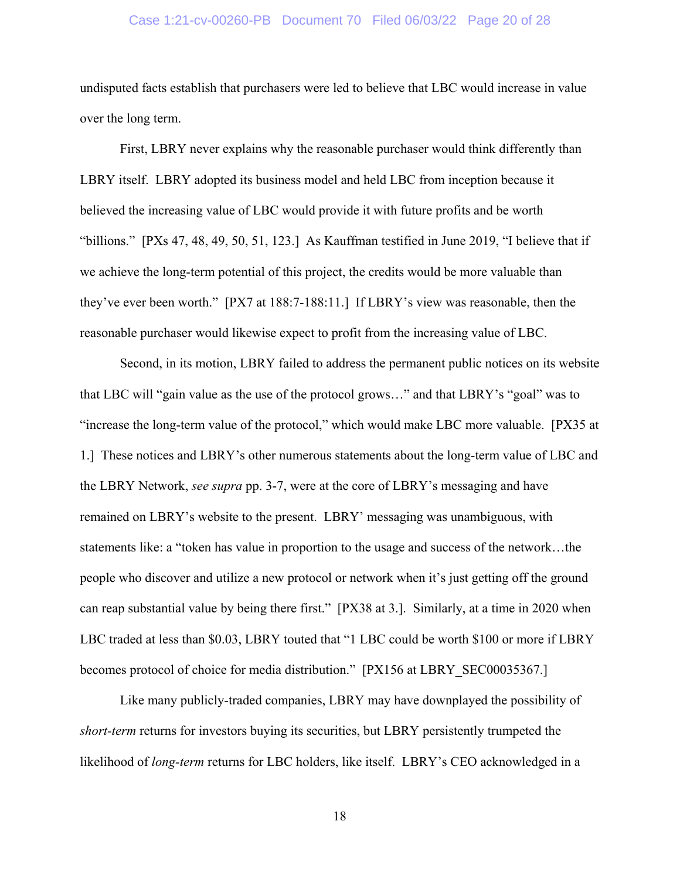## Case 1:21-cv-00260-PB Document 70 Filed 06/03/22 Page 20 of 28

undisputed facts establish that purchasers were led to believe that LBC would increase in value over the long term.

First, LBRY never explains why the reasonable purchaser would think differently than LBRY itself. LBRY adopted its business model and held LBC from inception because it believed the increasing value of LBC would provide it with future profits and be worth "billions." [PXs 47, 48, 49, 50, 51, 123.] As Kauffman testified in June 2019, "I believe that if we achieve the long-term potential of this project, the credits would be more valuable than they've ever been worth." [PX7 at 188:7-188:11.] If LBRY's view was reasonable, then the reasonable purchaser would likewise expect to profit from the increasing value of LBC.

Second, in its motion, LBRY failed to address the permanent public notices on its website that LBC will "gain value as the use of the protocol grows…" and that LBRY's "goal" was to "increase the long-term value of the protocol," which would make LBC more valuable. [PX35 at 1.] These notices and LBRY's other numerous statements about the long-term value of LBC and the LBRY Network, *see supra* pp. 3-7, were at the core of LBRY's messaging and have remained on LBRY's website to the present. LBRY' messaging was unambiguous, with statements like: a "token has value in proportion to the usage and success of the network…the people who discover and utilize a new protocol or network when it's just getting off the ground can reap substantial value by being there first." [PX38 at 3.]. Similarly, at a time in 2020 when LBC traded at less than \$0.03, LBRY touted that "1 LBC could be worth \$100 or more if LBRY becomes protocol of choice for media distribution." [PX156 at LBRY\_SEC00035367.]

Like many publicly-traded companies, LBRY may have downplayed the possibility of *short-term* returns for investors buying its securities, but LBRY persistently trumpeted the likelihood of *long-term* returns for LBC holders, like itself. LBRY's CEO acknowledged in a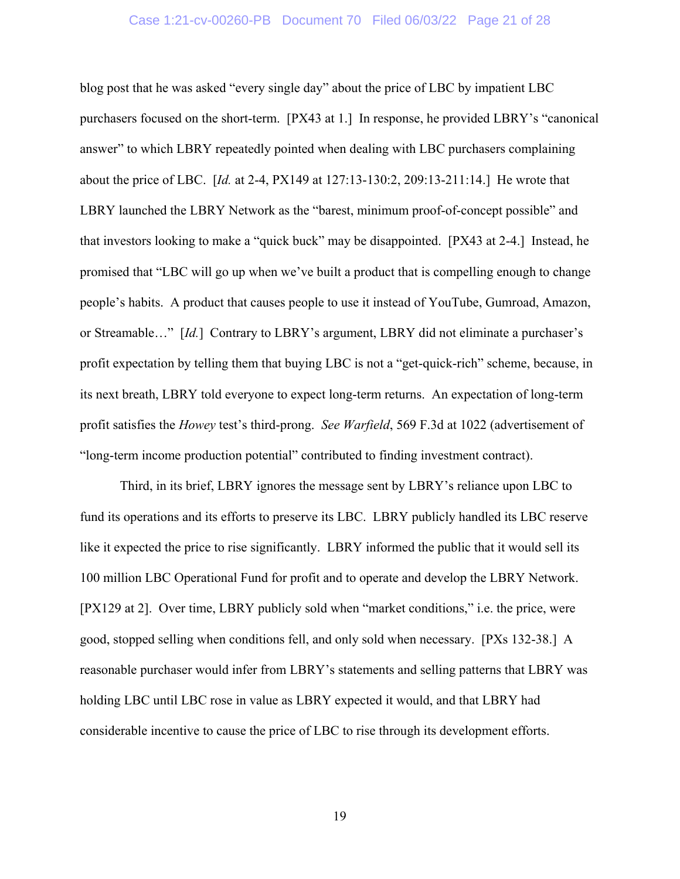#### Case 1:21-cv-00260-PB Document 70 Filed 06/03/22 Page 21 of 28

blog post that he was asked "every single day" about the price of LBC by impatient LBC purchasers focused on the short-term. [PX43 at 1.] In response, he provided LBRY's "canonical answer" to which LBRY repeatedly pointed when dealing with LBC purchasers complaining about the price of LBC. [*Id.* at 2-4, PX149 at 127:13-130:2, 209:13-211:14.] He wrote that LBRY launched the LBRY Network as the "barest, minimum proof-of-concept possible" and that investors looking to make a "quick buck" may be disappointed. [PX43 at 2-4.] Instead, he promised that "LBC will go up when we've built a product that is compelling enough to change people's habits. A product that causes people to use it instead of YouTube, Gumroad, Amazon, or Streamable…" [*Id.*] Contrary to LBRY's argument, LBRY did not eliminate a purchaser's profit expectation by telling them that buying LBC is not a "get-quick-rich" scheme, because, in its next breath, LBRY told everyone to expect long-term returns. An expectation of long-term profit satisfies the *Howey* test's third-prong. *See Warfield*, 569 F.3d at 1022 (advertisement of "long-term income production potential" contributed to finding investment contract).

Third, in its brief, LBRY ignores the message sent by LBRY's reliance upon LBC to fund its operations and its efforts to preserve its LBC. LBRY publicly handled its LBC reserve like it expected the price to rise significantly. LBRY informed the public that it would sell its 100 million LBC Operational Fund for profit and to operate and develop the LBRY Network. [PX129 at 2]. Over time, LBRY publicly sold when "market conditions," i.e. the price, were good, stopped selling when conditions fell, and only sold when necessary. [PXs 132-38.] A reasonable purchaser would infer from LBRY's statements and selling patterns that LBRY was holding LBC until LBC rose in value as LBRY expected it would, and that LBRY had considerable incentive to cause the price of LBC to rise through its development efforts.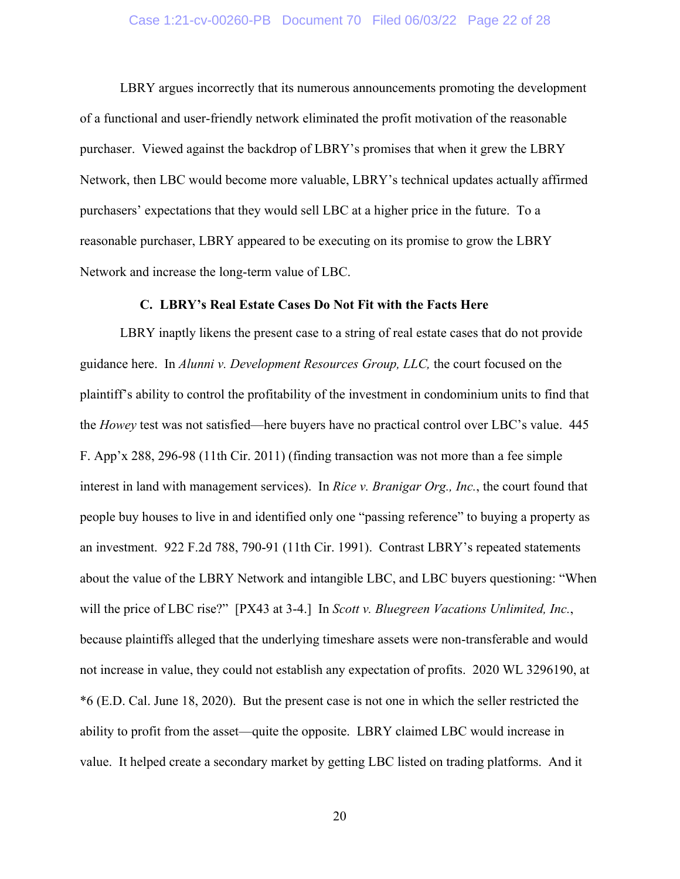### Case 1:21-cv-00260-PB Document 70 Filed 06/03/22 Page 22 of 28

LBRY argues incorrectly that its numerous announcements promoting the development of a functional and user-friendly network eliminated the profit motivation of the reasonable purchaser. Viewed against the backdrop of LBRY's promises that when it grew the LBRY Network, then LBC would become more valuable, LBRY's technical updates actually affirmed purchasers' expectations that they would sell LBC at a higher price in the future. To a reasonable purchaser, LBRY appeared to be executing on its promise to grow the LBRY Network and increase the long-term value of LBC.

# **C. LBRY's Real Estate Cases Do Not Fit with the Facts Here**

LBRY inaptly likens the present case to a string of real estate cases that do not provide guidance here. In *Alunni v. Development Resources Group, LLC,* the court focused on the plaintiff's ability to control the profitability of the investment in condominium units to find that the *Howey* test was not satisfied—here buyers have no practical control over LBC's value. 445 F. App'x 288, 296-98 (11th Cir. 2011) (finding transaction was not more than a fee simple interest in land with management services). In *Rice v. Branigar Org., Inc.*, the court found that people buy houses to live in and identified only one "passing reference" to buying a property as an investment. 922 F.2d 788, 790-91 (11th Cir. 1991). Contrast LBRY's repeated statements about the value of the LBRY Network and intangible LBC, and LBC buyers questioning: "When will the price of LBC rise?" [PX43 at 3-4.] In *Scott v. Bluegreen Vacations Unlimited, Inc.*, because plaintiffs alleged that the underlying timeshare assets were non-transferable and would not increase in value, they could not establish any expectation of profits. 2020 WL 3296190, at \*6 (E.D. Cal. June 18, 2020). But the present case is not one in which the seller restricted the ability to profit from the asset—quite the opposite. LBRY claimed LBC would increase in value. It helped create a secondary market by getting LBC listed on trading platforms. And it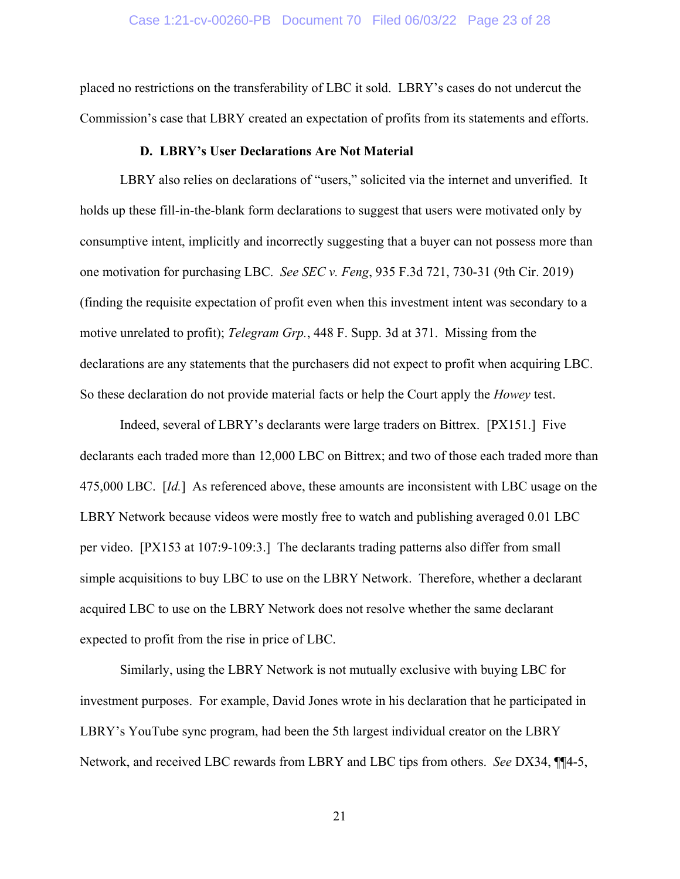placed no restrictions on the transferability of LBC it sold. LBRY's cases do not undercut the Commission's case that LBRY created an expectation of profits from its statements and efforts.

#### **D. LBRY's User Declarations Are Not Material**

LBRY also relies on declarations of "users," solicited via the internet and unverified. It holds up these fill-in-the-blank form declarations to suggest that users were motivated only by consumptive intent, implicitly and incorrectly suggesting that a buyer can not possess more than one motivation for purchasing LBC. *See SEC v. Feng*, 935 F.3d 721, 730-31 (9th Cir. 2019) (finding the requisite expectation of profit even when this investment intent was secondary to a motive unrelated to profit); *Telegram Grp.*, 448 F. Supp. 3d at 371. Missing from the declarations are any statements that the purchasers did not expect to profit when acquiring LBC. So these declaration do not provide material facts or help the Court apply the *Howey* test.

Indeed, several of LBRY's declarants were large traders on Bittrex. [PX151.] Five declarants each traded more than 12,000 LBC on Bittrex; and two of those each traded more than 475,000 LBC. [*Id.*] As referenced above, these amounts are inconsistent with LBC usage on the LBRY Network because videos were mostly free to watch and publishing averaged 0.01 LBC per video. [PX153 at 107:9-109:3.] The declarants trading patterns also differ from small simple acquisitions to buy LBC to use on the LBRY Network. Therefore, whether a declarant acquired LBC to use on the LBRY Network does not resolve whether the same declarant expected to profit from the rise in price of LBC.

Similarly, using the LBRY Network is not mutually exclusive with buying LBC for investment purposes. For example, David Jones wrote in his declaration that he participated in LBRY's YouTube sync program, had been the 5th largest individual creator on the LBRY Network, and received LBC rewards from LBRY and LBC tips from others. *See* DX34, ¶¶4-5,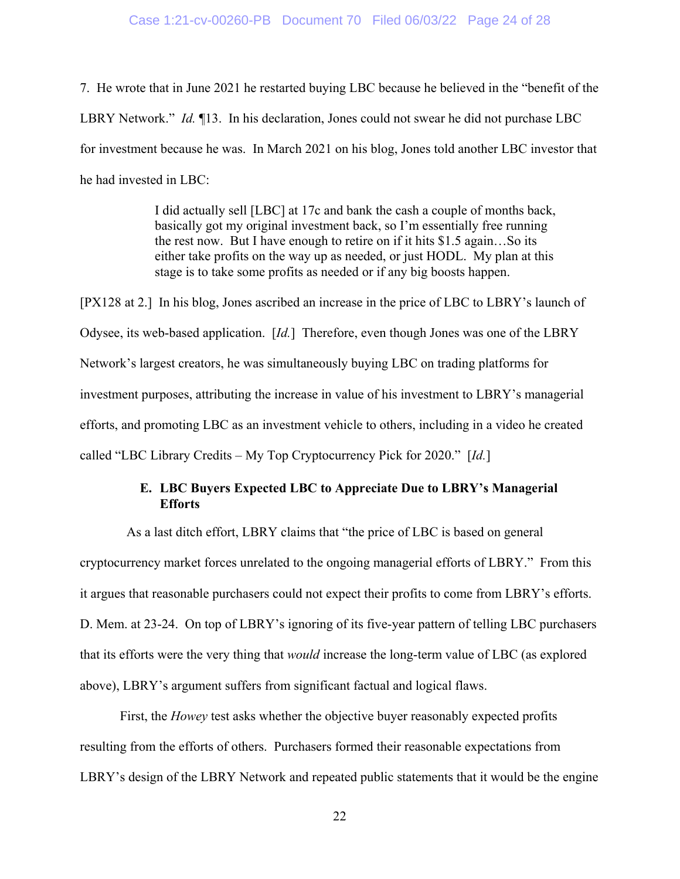#### Case 1:21-cv-00260-PB Document 70 Filed 06/03/22 Page 24 of 28

7. He wrote that in June 2021 he restarted buying LBC because he believed in the "benefit of the LBRY Network." *Id.* ¶13. In his declaration, Jones could not swear he did not purchase LBC for investment because he was. In March 2021 on his blog, Jones told another LBC investor that he had invested in LBC:

> I did actually sell [LBC] at 17c and bank the cash a couple of months back, basically got my original investment back, so I'm essentially free running the rest now. But I have enough to retire on if it hits \$1.5 again…So its either take profits on the way up as needed, or just HODL. My plan at this stage is to take some profits as needed or if any big boosts happen.

[PX128 at 2.] In his blog, Jones ascribed an increase in the price of LBC to LBRY's launch of Odysee, its web-based application. [*Id.*] Therefore, even though Jones was one of the LBRY Network's largest creators, he was simultaneously buying LBC on trading platforms for investment purposes, attributing the increase in value of his investment to LBRY's managerial efforts, and promoting LBC as an investment vehicle to others, including in a video he created called "LBC Library Credits – My Top Cryptocurrency Pick for 2020." [*Id.*]

# **E. LBC Buyers Expected LBC to Appreciate Due to LBRY's Managerial Efforts**

 As a last ditch effort, LBRY claims that "the price of LBC is based on general cryptocurrency market forces unrelated to the ongoing managerial efforts of LBRY." From this it argues that reasonable purchasers could not expect their profits to come from LBRY's efforts. D. Mem. at 23-24. On top of LBRY's ignoring of its five-year pattern of telling LBC purchasers that its efforts were the very thing that *would* increase the long-term value of LBC (as explored above), LBRY's argument suffers from significant factual and logical flaws.

First, the *Howey* test asks whether the objective buyer reasonably expected profits resulting from the efforts of others. Purchasers formed their reasonable expectations from LBRY's design of the LBRY Network and repeated public statements that it would be the engine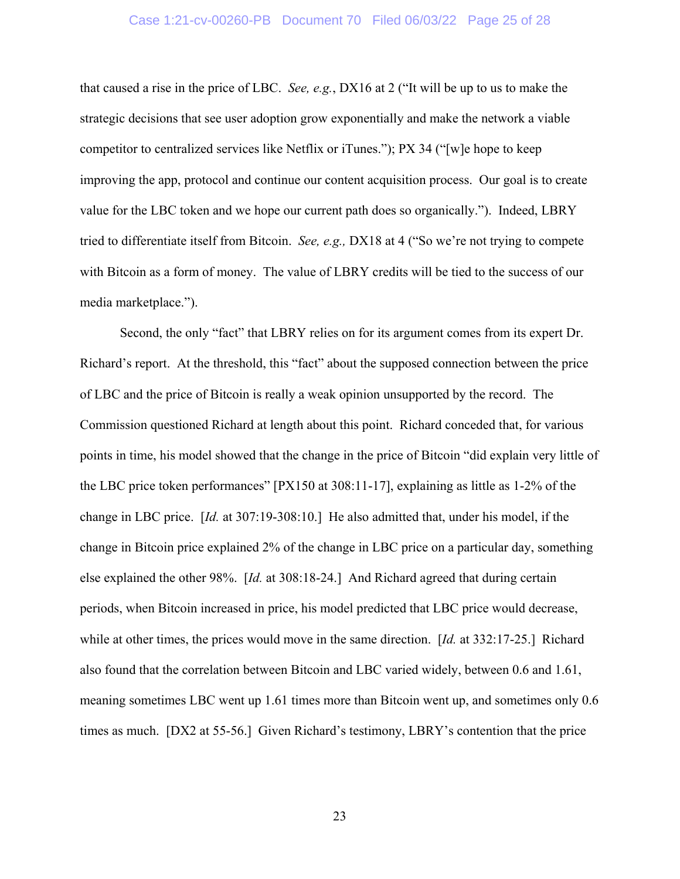that caused a rise in the price of LBC. *See, e.g.*, DX16 at 2 ("It will be up to us to make the strategic decisions that see user adoption grow exponentially and make the network a viable competitor to centralized services like Netflix or iTunes."); PX 34 ("[w]e hope to keep improving the app, protocol and continue our content acquisition process. Our goal is to create value for the LBC token and we hope our current path does so organically."). Indeed, LBRY tried to differentiate itself from Bitcoin. *See, e.g.,* DX18 at 4 ("So we're not trying to compete with Bitcoin as a form of money. The value of LBRY credits will be tied to the success of our media marketplace.").

Second, the only "fact" that LBRY relies on for its argument comes from its expert Dr. Richard's report. At the threshold, this "fact" about the supposed connection between the price of LBC and the price of Bitcoin is really a weak opinion unsupported by the record. The Commission questioned Richard at length about this point. Richard conceded that, for various points in time, his model showed that the change in the price of Bitcoin "did explain very little of the LBC price token performances" [PX150 at 308:11-17], explaining as little as 1-2% of the change in LBC price. [*Id.* at 307:19-308:10.] He also admitted that, under his model, if the change in Bitcoin price explained 2% of the change in LBC price on a particular day, something else explained the other 98%. [*Id.* at 308:18-24.] And Richard agreed that during certain periods, when Bitcoin increased in price, his model predicted that LBC price would decrease, while at other times, the prices would move in the same direction. [*Id.* at 332:17-25.] Richard also found that the correlation between Bitcoin and LBC varied widely, between 0.6 and 1.61, meaning sometimes LBC went up 1.61 times more than Bitcoin went up, and sometimes only 0.6 times as much. [DX2 at 55-56.] Given Richard's testimony, LBRY's contention that the price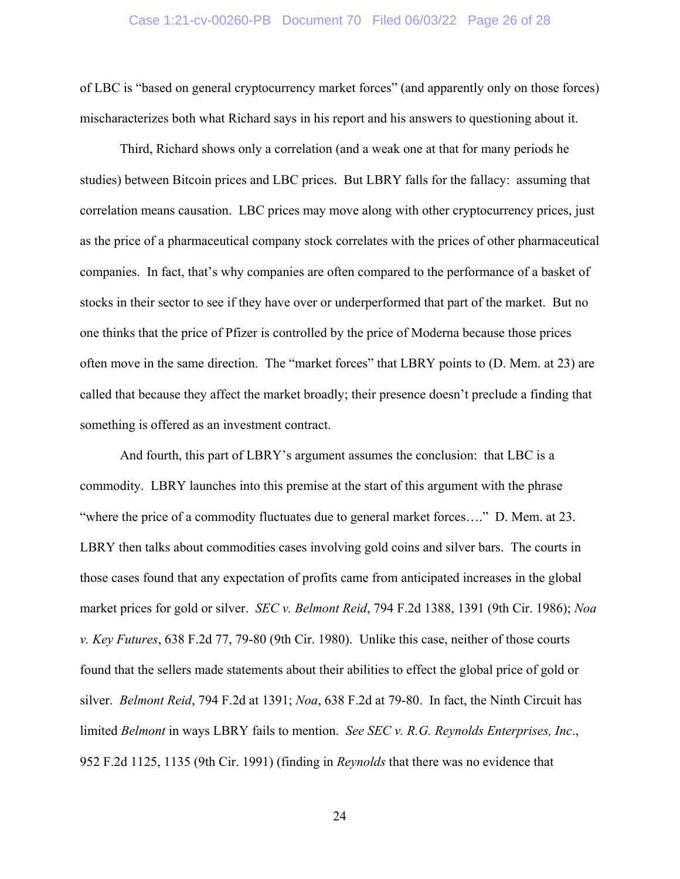#### Case 1:21-cv-00260-PB Document 70 Filed 06/03/22 Page 26 of 28

of LBC is "based on general cryptocurrency market forces" (and apparently only on those forces) mischaracterizes both what Richard says in his report and his answers to questioning about it.

Third, Richard shows only a correlation (and a weak one at that for many periods he studies) between Bitcoin prices and LBC prices. But LBRY falls for the fallacy: assuming that correlation means causation. LBC prices may move along with other cryptocurrency prices, just as the price of a pharmaceutical company stock correlates with the prices of other pharmaceutical companies. In fact, that's why companies are often compared to the performance of a basket of stocks in their sector to see if they have over or underperformed that part of the market. But no one thinks that the price of Pfizer is controlled by the price of Moderna because those prices often move in the same direction. The "market forces" that LBRY points to (D. Mem. at 23) are called that because they affect the market broadly; their presence doesn't preclude a finding that something is offered as an investment contract.

And fourth, this part of LBRY's argument assumes the conclusion: that LBC is a commodity. LBRY launches into this premise at the start of this argument with the phrase "where the price of a commodity fluctuates due to general market forces…." D. Mem. at 23. LBRY then talks about commodities cases involving gold coins and silver bars. The courts in those cases found that any expectation of profits came from anticipated increases in the global market prices for gold or silver. *SEC v. Belmont Reid*, 794 F.2d 1388, 1391 (9th Cir. 1986); *Noa v. Key Futures*, 638 F.2d 77, 79-80 (9th Cir. 1980). Unlike this case, neither of those courts found that the sellers made statements about their abilities to effect the global price of gold or silver. *Belmont Reid*, 794 F.2d at 1391; *Noa*, 638 F.2d at 79-80. In fact, the Ninth Circuit has limited *Belmont* in ways LBRY fails to mention. *See SEC v. R.G. Reynolds Enterprises, Inc*., 952 F.2d 1125, 1135 (9th Cir. 1991) (finding in *Reynolds* that there was no evidence that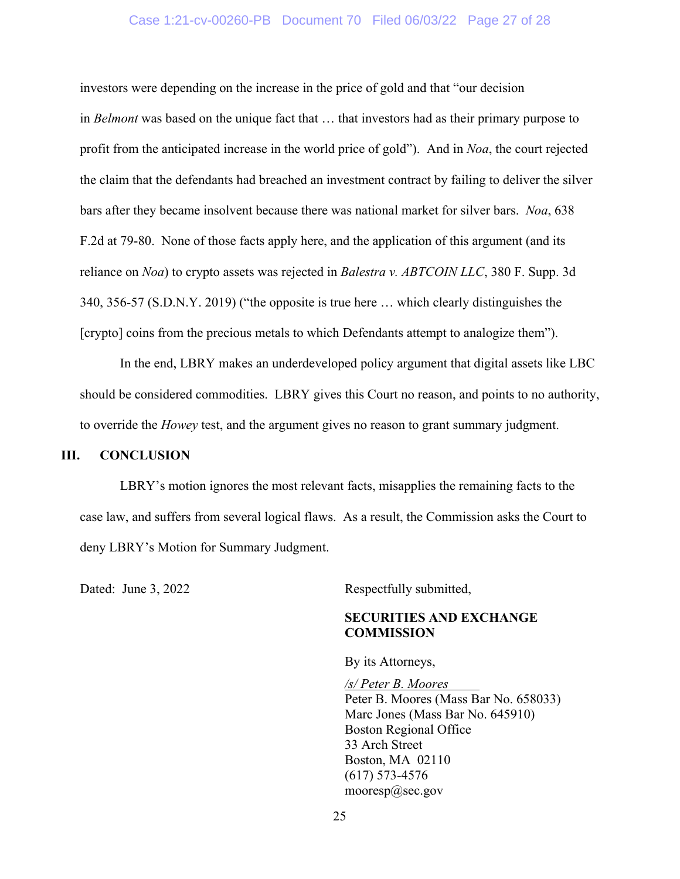# Case 1:21-cv-00260-PB Document 70 Filed 06/03/22 Page 27 of 28

investors were depending on the increase in the price of gold and that "our decision in *Belmont* was based on the unique fact that … that investors had as their primary purpose to profit from the anticipated increase in the world price of gold"). And in *Noa*, the court rejected the claim that the defendants had breached an investment contract by failing to deliver the silver bars after they became insolvent because there was national market for silver bars. *Noa*, 638 F.2d at 79-80. None of those facts apply here, and the application of this argument (and its reliance on *Noa*) to crypto assets was rejected in *Balestra v. ABTCOIN LLC*, 380 F. Supp. 3d 340, 356-57 (S.D.N.Y. 2019) ("the opposite is true here … which clearly distinguishes the [crypto] coins from the precious metals to which Defendants attempt to analogize them").

In the end, LBRY makes an underdeveloped policy argument that digital assets like LBC should be considered commodities. LBRY gives this Court no reason, and points to no authority, to override the *Howey* test, and the argument gives no reason to grant summary judgment.

# **III. CONCLUSION**

LBRY's motion ignores the most relevant facts, misapplies the remaining facts to the case law, and suffers from several logical flaws. As a result, the Commission asks the Court to deny LBRY's Motion for Summary Judgment.

Dated: June 3, 2022 Respectfully submitted,

# **SECURITIES AND EXCHANGE COMMISSION**

By its Attorneys,

*/s/ Peter B. Moores*  Peter B. Moores (Mass Bar No. 658033) Marc Jones (Mass Bar No. 645910) Boston Regional Office 33 Arch Street Boston, MA 02110 (617) 573-4576 mooresp@sec.gov